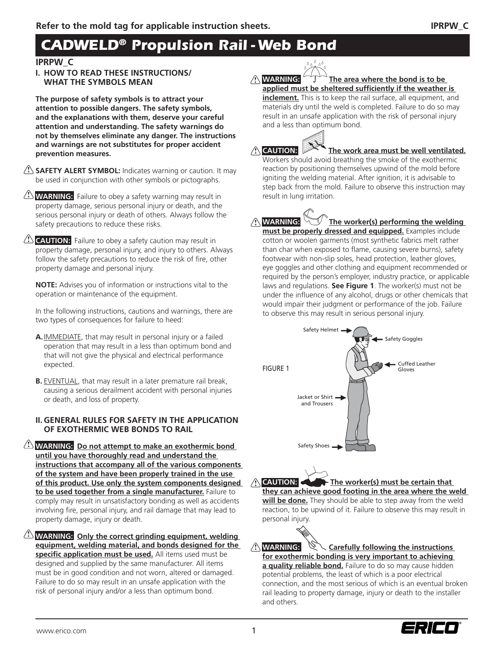# *CADWELD® Propulsion Rail - Web Bond*

## **IPRPW\_C**

**I. HOW TO READ THESE INSTRUCTIONS/ WHAT THE SYMBOLS MEAN**

**The purpose of safety symbols is to attract your attention to possible dangers. The safety symbols, and the explanations with them, deserve your careful attention and understanding. The safety warnings do not by themselves eliminate any danger. The instructions and warnings are not substitutes for proper accident prevention measures.**

**SAFETY ALERT SYMBOL:** Indicates warning or caution. It may **!** be used in conjunction with other symbols or pictographs.

**WARNING:** Failure to obey a safety warning may result in **!** property damage, serious personal injury or death, and the serious personal injury or death of others. Always follow the safety precautions to reduce these risks.

**CAUTION:** Failure to obey a safety caution may result in **!** property damage, personal injury, and injury to others. Always follow the safety precautions to reduce the risk of fire, other property damage and personal injury.

**NOTE:** Advises you of information or instructions vital to the operation or maintenance of the equipment.

In the following instructions, cautions and warnings, there are two types of consequences for failure to heed:

- **A.** IMMEDIATE, that may result in personal injury or a failed operation that may result in a less than optimum bond and that will not give the physical and electrical performance expected.
- **B.** EVENTUAL, that may result in a later premature rail break, causing a serious derailment accident with personal injuries or death, and loss of property.

#### **II. GENERAL RULES FOR SAFETY IN THE APPLICATION OF EXOTHERMIC WEB BONDS TO RAIL**

**! WARNING: Do not attempt to make an exothermic bond until you have thoroughly read and understand the instructions that accompany all of the various components of the system and have been properly trained in the use of this product. Use only the system components designed to be used together from a single manufacturer.** Failure to comply may result in unsatisfactory bonding as well as accidents involving fire, personal injury, and rail damage that may lead to property damage, injury or death.

**! WARNING: Only the correct grinding equipment, welding equipment, welding material, and bonds designed for the**  specific application must be used. All items used must be designed and supplied by the same manufacturer. All items must be in good condition and not worn, altered or damaged. Failure to do so may result in an unsafe application with the risk of personal injury and/or a less than optimum bond.

**A** WARNING: The area where the bond is to be applied must be sheltered sufficiently if the weather is **inclement.** This is to keep the rail surface, all equipment, and materials dry until the weld is completed. Failure to do so may result in an unsafe application with the risk of personal injury and a less than optimum bond.



The work area must be well ventilated. Workers should avoid breathing the smoke of the exothermic reaction by positioning themselves upwind of the mold before igniting the welding material. After ignition, it is advisable to step back from the mold. Failure to observe this instruction may result in lung irritation.

**A** WARNING: **The worker(s) performing the welding must be properly dressed and equipped.** Examples include cotton or woolen garments (most synthetic fabrics melt rather than char when exposed to flame, causing severe burns), safety footwear with non-slip soles, head protection, leather gloves, eye goggles and other clothing and equipment recommended or required by the person's employer, industry practice, or applicable laws and regulations. **See Figure 1**. The worker(s) must not be under the influence of any alcohol, drugs or other chemicals that would impair their judgment or performance of the job. Failure to observe this may result in serious personal injury.



**A** CAUTION: **The worker(s) must be certain that** 

**they can achieve good footing in the area where the weld will be done.** They should be able to step away from the weld reaction, to be upwind of it. Failure to observe this may result in personal injury.

**!**  $\sim$  Carefully following the instructions **for exothermic bonding is very important to achieving a quality reliable bond.** Failure to do so may cause hidden potential problems, the least of which is a poor electrical connection, and the most serious of which is an eventual broken rail leading to property damage, injury or death to the installer and others.

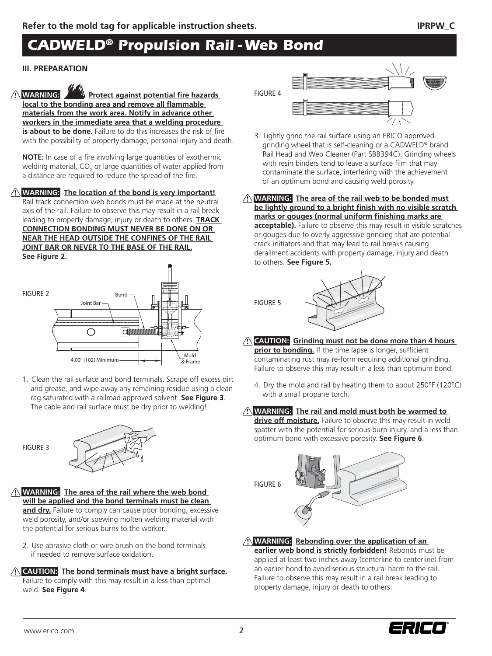### **III. PREPARATION**

**A** WARNING: **Protect against potential fire hazards** local to the bonding area and remove all flammable **materials from the work area. Notify in advance other workers in the immediate area that a welding procedure is about to be done.** Failure to do this increases the risk of fire with the possibility of property damage, personal injury and death.

**NOTE:** In case of a fire involving large quantities of exothermic welding material, CO<sub>2</sub> or large quantities of water applied from a distance are required to reduce the spread of the fire.

### **! WARNING: The location of the bond is very important!**

Rail track connection web bonds must be made at the neutral axis of the rail. Failure to observe this may result in a rail break leading to property damage, injury or death to others. **TRACK CONNECTION BONDING MUST NEVER BE DONE ON OR NEAR THE HEAD OUTSIDE THE CONFINES OF THE RAIL JOINT BAR OR NEVER TO THE BASE OF THE RAIL. See Figure 2.**



1. Clean the rail surface and bond terminals. Scrape off excess dirt and grease, and wipe away any remaining residue using a clean rag saturated with a railroad approved solvent. **See Figure 3**. The cable and rail surface must be dry prior to welding!

FIGURE 3



- **! WARNING: The area of the rail where the web bond will be applied and the bond terminals must be clean**  and dry. Failure to comply can cause poor bonding, excessive weld porosity, and/or spewing molten welding material with the potential for serious burns to the worker.
	- 2. Use abrasive cloth or wire brush on the bond terminals if needed to remove surface oxidation.
- **! CAUTION: The bond terminals must have a bright surface.**

Failure to comply with this may result in a less than optimal weld. **See Figure 4**.

FIGURE 4



- 3. Lightly grind the rail surface using an ERICO approved grinding wheel that is self-cleaning or a CADWELD® brand Rail Head and Web Cleaner (Part SBB394C). Grinding wheels with resin binders tend to leave a surface film that may contaminate the surface, interfering with the achievement of an optimum bond and causing weld porosity.
- **! WARNING: The area of the rail web to be bonded must**  be lightly ground to a bright finish with no visible scratch marks or gouges (normal uniform finishing marks are **acceptable).** Failure to observe this may result in visible scratches or gouges due to overly aggressive grinding that are potential crack initiators and that may lead to rail breaks causing derailment accidents with property damage, injury and death to others. **See Figure 5.**





- **! CAUTION: Grinding must not be done more than 4 hours prior to bonding.** If the time lapse is longer, sufficient contaminating rust may re-form requiring additional grinding. Failure to observe this may result in a less than optimum bond.
	- 4. Dry the mold and rail by heating them to about 250°F (120°C) with a small propane torch.

### **! WARNING: The rail and mold must both be warmed to**

**drive off moisture.** Failure to observe this may result in weld spatter with the potential for serious burn injury, and a less than optimum bond with excessive porosity. **See Figure 6**.



## **! WARNING: Rebonding over the application of an**

**earlier web bond is strictly forbidden!** Rebonds must be applied at least two inches away (centerline to centerline) from an earlier bond to avoid serious structural harm to the rail. Failure to observe this may result in a rail break leading to property damage, injury or death to others.

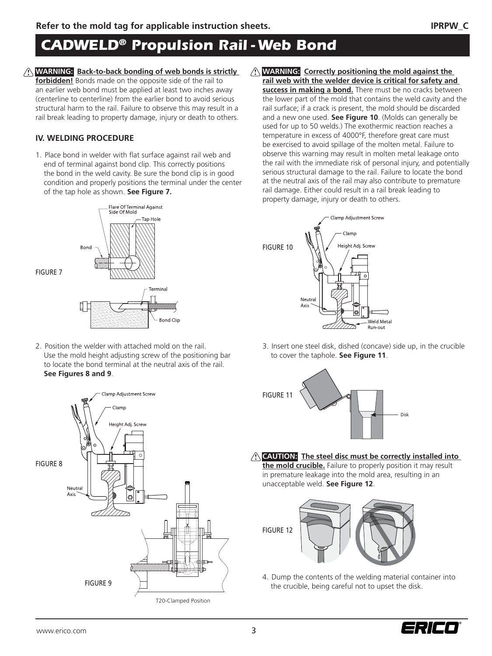# *CADWELD® Propulsion Rail - Web Bond*

**! WARNING: Back-to-back bonding of web bonds is strictly ! forbidden!** Bonds made on the opposite side of the rail to an earlier web bond must be applied at least two inches away (centerline to centerline) from the earlier bond to avoid serious structural harm to the rail. Failure to observe this may result in a rail break leading to property damage, injury or death to others.

## **IV. WELDING PROCEDURE**

FIGURE 7

1. Place bond in welder with flat surface against rail web and end of terminal against bond clip. This correctly positions the bond in the weld cavity. Be sure the bond clip is in good condition and properly positions the terminal under the center of the tap hole as shown. **See Figure 7.**



2. Position the welder with attached mold on the rail. Use the mold height adjusting screw of the positioning bar to locate the bond terminal at the neutral axis of the rail. **See Figures 8 and 9**.



**WARNING: Correctly positioning the mold against the rail web with the welder device is critical for safety and success in making a bond.** There must be no cracks between the lower part of the mold that contains the weld cavity and the rail surface; if a crack is present, the mold should be discarded and a new one used. **See Figure 10**. (Molds can generally be used for up to 50 welds.) The exothermic reaction reaches a temperature in excess of 4000°F, therefore great care must be exercised to avoid spillage of the molten metal. Failure to observe this warning may result in molten metal leakage onto the rail with the immediate risk of personal injury, and potentially serious structural damage to the rail. Failure to locate the bond at the neutral axis of the rail may also contribute to premature rail damage. Either could result in a rail break leading to property damage, injury or death to others.



3. Insert one steel disk, dished (concave) side up, in the crucible to cover the taphole. **See Figure 11**.



**! CAUTION: The steel disc must be correctly installed into the mold crucible.** Failure to properly position it may result

in premature leakage into the mold area, resulting in an unacceptable weld. **See Figure 12**.



4. Dump the contents of the welding material container into the crucible, being careful not to upset the disk.